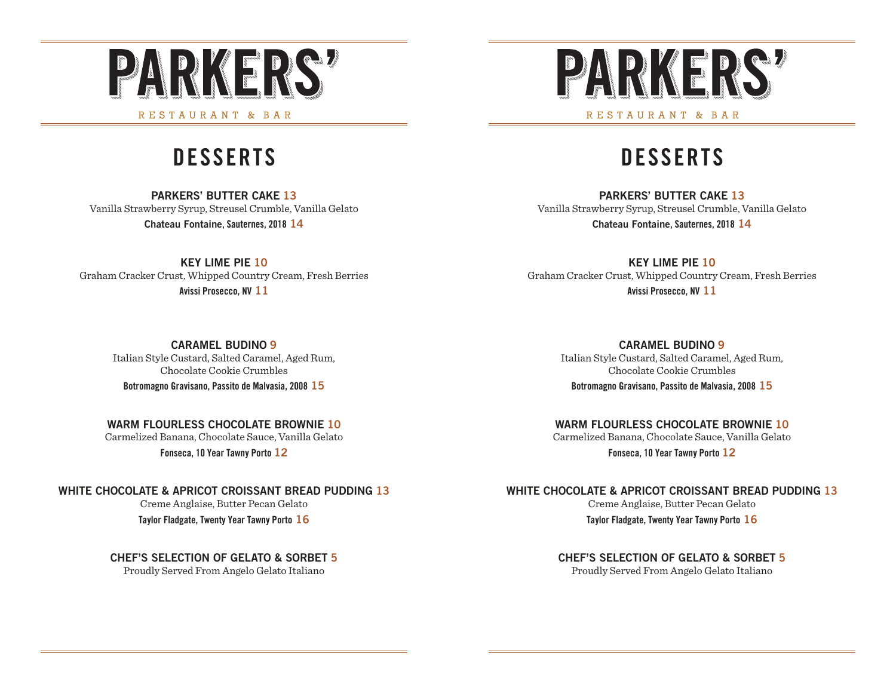

## RESTAURANT & BAR

# **DESSERTS**

#### **PARKERS' BUTTER CAKE 13** Vanilla Strawberry Syrup, Streusel Crumble, Vanilla Gelato **Chateau Fontaine, Sauternes, 2018 14**

**KEY LIME PIE 10** Graham Cracker Crust, Whipped Country Cream, Fresh Berries **Avissi Prosecco, NV 11**

**CARAMEL BUDINO 9**

Italian Style Custard, Salted Caramel, Aged Rum, Chocolate Cookie Crumbles **Botromagno Gravisano, Passito de Malvasia, 2008 15**

**WARM FLOURLESS CHOCOLATE BROWNIE 10**

Carmelized Banana, Chocolate Sauce, Vanilla Gelato

**Fonseca, 10 Year Tawny Porto 12**

**WHITE CHOCOLATE & APRICOT CROISSANT BREAD PUDDING 13**

Creme Anglaise, Butter Pecan Gelato **Taylor Fladgate, Twenty Year Tawny Porto 16**

### **CHEF'S SELECTION OF GELATO & SORBET 5**

Proudly Served From Angelo Gelato Italiano